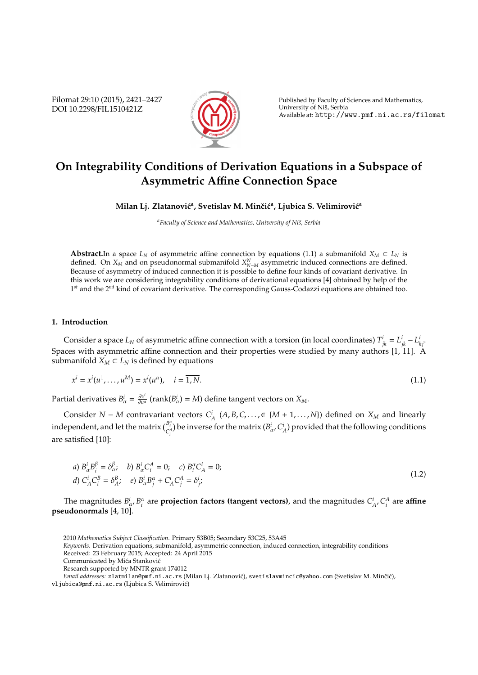Filomat 29:10 (2015), 2421–2427 DOI 10.2298/FIL1510421Z



Published by Faculty of Sciences and Mathematics, University of Nis, Serbia ˇ Available at: http://www.pmf.ni.ac.rs/filomat

# **On Integrability Conditions of Derivation Equations in a Subspace of Asymmetric A**ffi**ne Connection Space**

Milan Lj. Zlatanović<sup>a</sup>, Svetislav M. Minčić<sup>a</sup>, Ljubica S. Velimirović<sup>a</sup>

<sup>a</sup>Faculty of Science and Mathematics, University of Niš, Serbia

**Abstract.**In a space  $L_N$  of asymmetric affine connection by equations (1.1) a submanifold  $X_M \subset L_N$  is defined. On  $X_M$  and on pseudonormal submanifold  $X_{N-M}^N$  asymmetric induced connections are defined. Because of asymmetry of induced connection it is possible to define four kinds of covariant derivative. In this work we are considering integrability conditions of derivational equations [4] obtained by help of the 1 *st* and the 2*nd* kind of covariant derivative. The corresponding Gauss-Codazzi equations are obtained too.

## **1. Introduction**

Consider a space  $L_N$  of asymmetric affine connection with a torsion (in local coordinates)  $T^i_{jk} = L^i_{jk} - L^i_{kj}$ . Spaces with asymmetric affine connection and their properties were studied by many authors [1, 11]. A submanifold  $X_M \subset L_N$  is defined by equations

$$
x^{i} = x^{i}(u^{1},...,u^{M}) = x^{i}(u^{\alpha}), \quad i = \overline{1,N}.
$$
\n(1.1)

Partial derivatives  $B^i_\alpha = \frac{\partial x^i}{\partial u^i}$  $\frac{\partial x^i}{\partial u^{\alpha}}$  (rank( $B^i_{\alpha}$ ) = *M*) define tangent vectors on  $X_M$ .

Consider *N* − *M* contravariant vectors  $C_A^i$  (*A*, *B*, *C*, . . . , ∈ {*M* + 1, . . . , *N*}) defined on *X<sub>M</sub>* and linearly independent, and let the matrix  $\binom{B_i^a}{C_i^A}$  be inverse for the matrix  $(B^i_\alpha, C^i_A)$  provided that the following conditions are satisfied [10]:

a) 
$$
B_{\alpha}^{i}B_{i}^{\beta} = \delta_{\alpha}^{\beta}
$$
, b)  $B_{\alpha}^{i}C_{i}^{A} = 0$ ; c)  $B_{i}^{\alpha}C_{A}^{i} = 0$ ;  
d)  $C_{A}^{i}C_{i}^{B} = \delta_{A}^{B}$ ; e)  $B_{\alpha}^{i}B_{j}^{\alpha} + C_{A}^{i}C_{j}^{A} = \delta_{j}^{i}$  (1.2)

The magnitudes  $B^i_\alpha$ ,  $B^\alpha_i$  are **projection factors (tangent vectors)**, and the magnitudes  $C^i_A$ ,  $C^A_i$  are **affine pseudonormals** [4, 10].

*Keywords*. Derivation equations, submanifold, asymmetric connection, induced connection, integrability conditions Received: 23 February 2015; Accepted: 24 April 2015

<sup>2010</sup> *Mathematics Subject Classification*. Primary 53B05; Secondary 53C25, 53A45

Communicated by Mića Stanković

Research supported by MNTR grant 174012

*Email addresses:* zlatmilan@pmf.ni.ac.rs (Milan Li. Zlatanović), svetislavmincic@yahoo.com (Svetislav M. Minčić),

vljubica@pmf.ni.ac.rs (Ljubica S. Velimirovic)´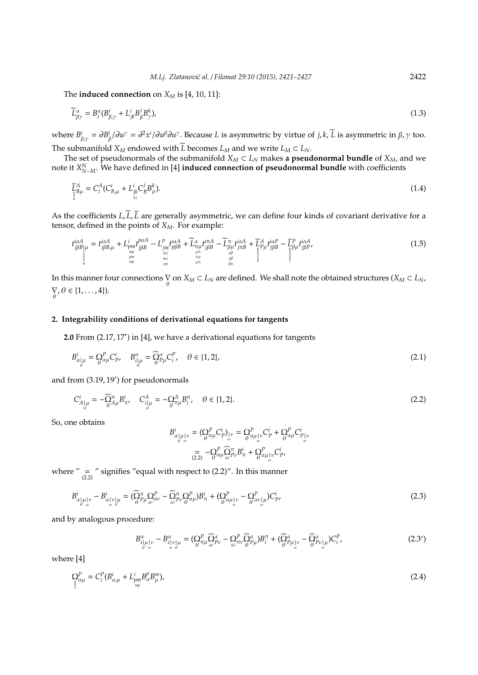The **induced connection** on  $X_M$  is [4, 10, 11]:

$$
\widetilde{L}^{\alpha}_{\beta\gamma} = B^{\alpha}_{i} (B^{i}_{\beta,\gamma} + L^{i}_{jk} B^{j}_{\beta} B^{k}_{\gamma}), \tag{1.3}
$$

where  $B^i_{\beta,\gamma} = \partial B^i_{\beta}/\partial u^{\gamma} = \partial^2 x^i/\partial u^{\beta}\partial u^{\gamma}$ . Because *L* is asymmetric by virtue of *j*, *k*, *L* is asymmetric in  $\beta, \gamma$  too. The submanifold  $X_M$  endowed with  $\widetilde{L}$  becomes  $L_M$  and we write  $L_M \subset L_N$ .

The set of pseudonormals of the submanifold  $X_M \subset L_N$  makes **a pseudonormal bundle** of  $X_M$ , and we note it  $X_{N-M}^N$ . We have defined in [4] **induced connection of pseudonormal bundle** with coefficients

$$
\overline{L}_{\frac{1}{2}B\mu}^A = C_i^A (C_{B,\mu}^i + L_{\substack{j_k \\ k_j}}^i C_B^j B_{\mu}^k). \tag{1.4}
$$

As the coefficients  $L$ ,  $\tilde{L}$ ,  $\overline{L}$  are generally asymmetric, we can define four kinds of covariant derivative for a tensor, defined in the points of *XM*. For example:

$$
t_{j\beta B}^{i\alpha A}_{\mu} = t_{j\beta B,\mu}^{i\alpha A} + L_{pm_{\substack{mp \ m \ p}}^{i\beta B}}^{i\alpha A} - L_{jm}^{p} t_{p\beta B}^{i\alpha A} + \widetilde{L}_{\substack{n \mu \ n \beta B}}^{\alpha} t_{j\beta B}^{i\alpha A} - \widetilde{L}_{\substack{n \mu \ n \beta B}}^{\alpha} t_{j\beta B}^{i\alpha A} - \widetilde{L}_{\substack{n \mu \ n \beta B}}^{\beta} t_{j\alpha B}^{i\alpha A} + \widetilde{L}_{\substack{1 \mu \mu \beta B}}^{A} t_{j\beta B}^{i\alpha B} - \widetilde{L}_{\substack{1 \mu \mu \beta B}}^{p} t_{j\beta B}^{i\alpha A}, \tag{1.5}
$$

In this manner four connections  $\bigvee^{\bullet}_{\theta}$  on  $X_M \subset L_N$  are defined. We shall note the obtained structures  $(X_M \subset L_N)$ ∇  $\nabla_{\theta}, \theta \in \{1, \ldots, 4\}.$ 

### **2. Integrability conditions of derivational equations for tangents**

2.0 From (2.17, 17') in [4], we have a derivational equations for tangents

$$
B_{\alpha|\mu}^i = \mathop{\Omega}\limits_{\theta}^P \mathcal{C}_{\mu}^i, \quad B_{i|\mu}^{\alpha} = \widehat{\mathop{\Omega}\limits_{\theta}^{\alpha}} \mathcal{C}_{i}^P, \quad \theta \in \{1, 2\},
$$
\n(2.1)

and from (3.19, 19') for pseudonormals

$$
C_{A_{\parallel}^i\mu}^i = -\widehat{Q}_{A\mu}^{\pi} B_{\pi}^i, \quad C_{i_{\parallel}^i\mu}^A = -\widehat{Q}_{\pi\mu}^A B_{i}^{\pi}, \quad \theta \in \{1, 2\}.
$$

So, one obtains

$$
B^i_{\alpha|\mu|\nu} = (\mathcal{Q}^P_{\theta}\mathcal{Q}^i_{\nu})_{\omega} = \mathcal{Q}^P_{\theta}\mathcal{Q}^i_{\mu|\nu}C^i_{P} + \mathcal{Q}^P_{\theta}\mathcal{Q}^i_{\mu}C^i_{P|\nu}
$$

$$
= -\mathcal{Q}^P_{\alpha\mu}\mathcal{Q}^T_{\theta\nu}B^i_{\pi} + \mathcal{Q}^P_{\alpha\mu|\nu}C^i_{P},
$$

$$
(2.2) \quad \mathcal{Q}^P_{\theta}\mathcal{Q}^T_{\theta\nu}B^i_{\tau} + \mathcal{Q}^P_{\theta}\mathcal{Q}^i_{\mu|\nu}C^i_{P},
$$

where  $\prime \prime$  =  $\prime \prime$  signifies "equal with respect to (2.2)". In this manner

$$
B_{\alpha|\mu|\nu}^{i} - B_{\alpha|\nu|\mu}^{i} = (\widehat{\Omega}_{\theta}^{\pi} \Omega_{\mu}^{\circ} - \widehat{\Omega}_{\theta}^{\pi} \Omega_{\alpha}^{\circ})B_{\pi}^{i} + (\Omega_{\theta}^{\pi} \Omega_{\mu|\nu}^{\circ} - \Omega_{\theta}^{\circ})B_{\nu|\mu}^{i}C_{p}^{i},
$$
\n(2.3)

and by analogous procedure:

$$
B^{\alpha}_{i|\mu|\nu} - B^{\alpha}_{i|\nu|\mu} = (\Omega^P_{\theta^{\pi}\mu} \widehat{\Omega}^{\alpha}_{\theta^{\nu}} - \Omega^P_{\omega^{\pi}\nu} \widehat{\Omega}^{\alpha}_{\theta^{\mu}}) B^{\pi}_{i} + (\widehat{\Omega}^{\alpha}_{\theta^{\mu}|\nu} - \widehat{\Omega}^{\alpha}_{\theta^{\nu}|\mu}) C^P_{i},
$$
\n(2.3')

where [4]

$$
\Omega_{\lambda}^{P} = C_{i}^{P} (B_{\alpha,\mu}^{i} + L_{pm}^{i} B_{\alpha}^{p} B_{\mu}^{m}),
$$
\n(2.4)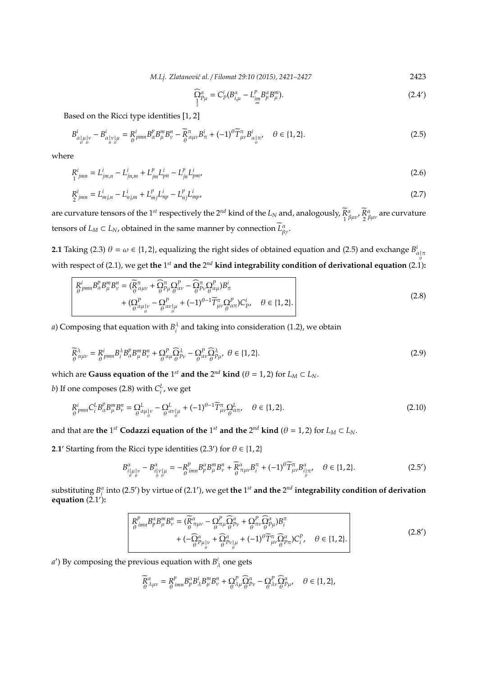*M.Lj. Zlatanovi´c al.* / *Filomat 29:10 (2015), 2421–2427* 2423

$$
\widehat{\Omega}_{P\mu}^{\alpha} = C_P^i (B_{i,\mu}^{\alpha} - L_{im}^p B_p^{\alpha} B_{\mu}^m). \tag{2.4'}
$$

Based on the Ricci type identities [1, 2]

$$
B_{\alpha|\mu|\nu}^{i} - B_{\alpha|\nu|\mu}^{i} = R_{\theta}^{i} - B_{\alpha|\mu|\mu}^{i} B_{\alpha}^{n} B_{\mu}^{m} B_{\nu}^{n} - \widetilde{R}_{\alpha\mu\nu}^{\pi} B_{\pi}^{i} + (-1)^{\theta} \widetilde{T}_{\mu\nu}^{\pi} B_{\alpha|\pi}^{i}, \quad \theta \in \{1, 2\}.
$$

where

$$
R^i_{jmn} = L^i_{jm,n} - L^i_{jm,m} + L^p_{jm} L^i_{pn} - L^p_{jn} L^i_{pm},
$$
\n(2.6)

$$
R_{2\,jmn}^i = L_{mj,n}^i - L_{nj,m}^i + L_{mj}^p L_{np}^i - L_{nj}^p L_{mp}^i,
$$
\n(2.7)

are curvature tensors of the 1<sup>st</sup> respectively the 2<sup>nd</sup> kind of the  $L_N$  and, analogously,  $R_1$  $\frac{\alpha}{\beta}$ μν<sup>,</sup>  $\frac{R}{2}$  $\frac{\alpha}{\beta\mu\nu}$  are curvature tensors of  $L_M \subset L_N$ , obtained in the same manner by connection  $\widetilde{L}^{\alpha}_{\beta \gamma}$ .

**2.1** Taking (2.3)  $\theta = \omega \in \{1, 2\}$ , equalizing the right sides of obtained equation and (2.5) and exchange  $B^i_{\alpha|\pi}$ with respect of (2.1), we get **the** 1<sup>st</sup> and the 2<sup>nd</sup> kind integrability condition of derivational equation (2.1):

$$
R^i_{\theta} p_{mn} B^p_{\alpha} B^m_{\mu} B^n_{\nu} = (\overline{R}^{\pi}_{\theta} \alpha_{\mu\nu} + \overline{\Omega}^{\pi}_{\theta} \Omega^p_{\mu} \partial^p_{\alpha\nu} - \overline{\Omega}^{\pi}_{\theta} \Omega^p_{\nu} \partial^p_{\alpha\mu} B^i_{\pi} + (\underline{Q}^P_{\theta} \alpha_{\mu} \nu_{\theta} - \underline{Q}^P_{\alpha\nu} \nu_{\theta} \mu + (-1)^{\theta-1} \overline{T}^{\pi}_{\mu\nu} \underline{Q}^P_{\theta} \alpha_n) C^i_{p}, \quad \theta \in \{1, 2\}.
$$
\n(2.8)

*a*) Composing that equation with  $B_i^{\lambda}$  and taking into consideration (1.2), we obtain

$$
\widetilde{R}_{\theta}^{\lambda}{}_{\alpha\mu\nu} = R_{\theta}^{i}{}_{pmn}B_{\theta}^{\lambda}B_{\mu}^{p}B_{\nu}^{m} + \Omega_{\theta}^{p}{}_{\theta} \Omega_{\theta}^{\lambda}{}_{\rho} - \Omega_{\theta}^{p}{}_{\omega} \widehat{\Omega}_{\theta}^{\lambda}{}_{\mu}, \quad \theta \in \{1, 2\}.
$$
\n(2.9)

which are Gauss equation of the 1<sup>st</sup> and the 2<sup>nd</sup> kind ( $\theta = 1, 2$ ) for  $L_M \subset L_N$ .

*b*) If one composes (2.8) with  $C_i^L$ , we get

$$
R^i_{\theta}{}_{pmn}C^L_i B^p_{\alpha} B^m_{\mu} B^n_{\nu} = \Omega^L_{\theta}{}_{\alpha\mu}{}_{\vert\nu} - \Omega^L_{\theta}{}_{\alpha\nu}{}_{\vert\mu} + (-1)^{\theta-1} \widetilde{T}^{\pi}_{\mu\nu} \Omega^L_{\theta}{}_{\alpha\pi}, \quad \theta \in \{1, 2\}.
$$

and that are the 1<sup>st</sup> Codazzi equation of the 1<sup>st</sup> and the 2<sup>nd</sup> kind ( $\theta$  = 1, 2) for  $L_M \subset L_N$ .

**2.1'** Starting from the Ricci type identities (2.3') for  $\theta \in \{1, 2\}$ 

$$
B^{\alpha}_{i|\mu|\nu} - B^{\alpha}_{i|\nu|\mu} = -R^p_{\theta \text{ imn}} B^{\alpha}_{\rho} B^m_{\mu} B^n_{\nu} + \widetilde{R}^{\alpha}_{\pi\mu\nu} B^{\pi}_{i} + (-1)^{\theta} \widetilde{T}^{\pi}_{\mu\nu} B^{\alpha}_{i|\pi}, \quad \theta \in \{1, 2\}.
$$
 (2.5')

substituting  $B_i^{\alpha}$  into (2.5') by virtue of (2.1'), we get the 1<sup>st</sup> and the 2<sup>nd</sup> integrability condition of derivation **equation** (2.1 0 )**:**

$$
R^p_{\theta\,mn} B^{\alpha}_{p} B^m_{\mu} B^n_{\nu} = (\overline{R}^{\alpha}_{\theta\,n\mu\nu} - \Omega^P_{\theta\,n\mu} \overline{\Omega}^{\alpha}_{\theta\,p\nu} + \Omega^P_{\theta\,n\nu} \overline{\Omega}^{\alpha}_{\theta\,\mu} B^{\pi}_{\mu} + (-1)^{\theta} \overline{T}^{\pi}_{\mu\nu} \overline{\Omega}^{\alpha}_{\theta\,p\pi} C^P_{i}, \quad \theta \in \{1, 2\}.
$$
\n
$$
(2.8')
$$

*a*<sup> $\prime$ </sup>) By composing the previous equation with  $B^i_\lambda$  one gets

$$
\widetilde{R}^{\alpha}_{\lambda\mu\nu} = R^p_{\theta\,imm}B^{\alpha}_{p}B^i_{\lambda}B^m_{\mu}B^n_{\nu} + \Omega^P_{\theta}{}^{\lambda}_{\lambda\mu}\widehat{\Omega}^{\alpha}_{p\nu} - \Omega^P_{\theta}{}^{\lambda}_{\lambda\nu}\widehat{\Omega}^{\alpha}_{p\mu}, \quad \theta \in \{1,2\},
$$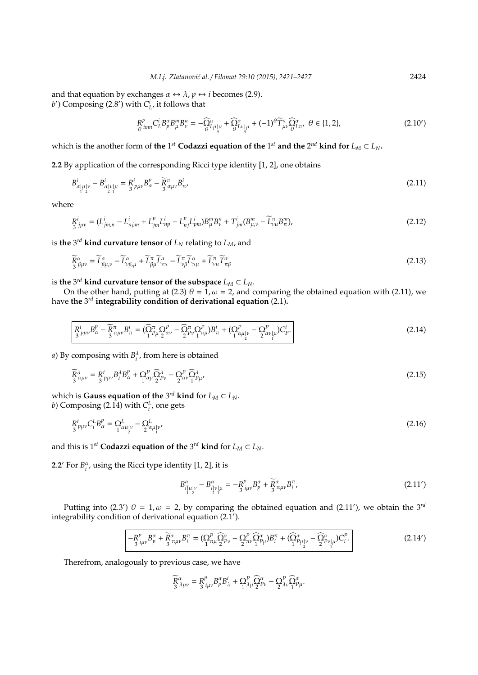and that equation by exchanges  $\alpha \leftrightarrow \lambda$ ,  $p \leftrightarrow i$  becomes (2.9). *b*<sup> $\prime$ </sup>) Composing (2.8<sup> $\prime$ </sup>) with  $C^i_L$ , it follows that

$$
R^p_{\theta}{}^{imn}C^i_L B^{\alpha}_p B^m_{\mu} B^n_{\nu} = -\widehat{\Omega}^{\alpha}_{L\mu|_{\theta}^{\nu}} + \widehat{\Omega}^{\alpha}_{L\nu|_{\theta}^{\mu}} + (-1)^{\theta} \widetilde{T}^{\pi}_{\mu\nu} \widehat{\Omega}^{\alpha}_{L\pi}, \ \theta \in \{1, 2\},\tag{2.10'}
$$

which is the another form of **the** 1<sup>st</sup> Codazzi equation of the 1<sup>st</sup> and the 2<sup>nd</sup> kind for  $L_M \subset L_N$ .

**2.2** By application of the corresponding Ricci type identity [1, 2], one obtains

$$
B_{\alpha|\mu|\nu}^{i} - B_{\alpha|\nu|\mu}^{i} = R_{\beta}^{i} P_{\mu\nu} B_{\alpha}^{p} - \widetilde{R}_{\beta}^{\pi} P_{\mu\nu} B_{\pi}^{i},
$$
\n(2.11)

where

$$
R^{i}_{3\ j\mu\nu} = (L^{i}_{jm,n} - L^{i}_{nj,m} + L^{p}_{jm}L^{i}_{np} - L^{p}_{nj}L^{i}_{pm})B^{m}_{\mu}B^{n}_{\nu} + T^{i}_{jm}(B^{m}_{\mu,\nu} - \widetilde{L}^{m}_{\nu\mu}B^{m}_{\pi}), \tag{2.12}
$$

is **the** 3 *rd* **kind curvature tensor** of *L<sup>N</sup>* relating to *LM*, and

$$
\widetilde{R}^{\alpha}_{\beta\mu\nu} = \widetilde{L}^{\alpha}_{\beta\mu,\nu} - \widetilde{L}^{\alpha}_{\nu\beta,\mu} + \widetilde{L}^{\pi}_{\beta\mu}\widetilde{L}^{\alpha}_{\nu\pi} - \widetilde{L}^{\pi}_{\nu\beta}\widetilde{L}^{\alpha}_{\pi\mu} + \widetilde{L}^{\pi}_{\nu\mu}\widetilde{T}^{\alpha}_{\pi\beta}
$$
\n(2.13)

is the  $3^{rd}$  kind curvature tensor of the subspace  $L_M \subset L_N$ .

On the other hand, putting at (2.3)  $\theta = 1$ ,  $\omega = 2$ , and comparing the obtained equation with (2.11), we have **the** 3 *rd* **integrability condition of derivational equation** (2.1)**.**

$$
\frac{R^i}{3} p_{\mu\nu} B^p_\alpha - \frac{\widetilde{R}^{\pi}}{3} a_{\mu\nu} B^i_\pi = (\widehat{\Omega}^{\pi}_{p\mu} \Omega^p_{\alpha\nu} - \widehat{\Omega}^{\pi}_{p\nu} \Omega^p_{\alpha\mu}) B^i_\pi + (\Omega^p_{1} a_{\mu|\nu} - \Omega^p_{2} a_{\nu|\mu}) C^i_p. \tag{2.14}
$$

*a*) By composing with  $B_i^{\lambda}$ , from here is obtained

$$
\widetilde{R}_{3}^{\lambda}{}_{\alpha\mu\nu} = R_{3}^{i}{}_{p\mu\nu}B_{i}^{\lambda}B_{\alpha}^{p} + \Omega_{1}^{p}{}_{\alpha\mu}\widehat{\Omega}_{2}^{\lambda}{}_{p\nu} - \Omega_{2}^{p}{}_{\alpha\nu}\widehat{\Omega}_{1}^{\lambda}{}_{p\mu},\tag{2.15}
$$

which is **Gauss equation of the**  $3^{rd}$  kind for  $L_M \subset L_N$ . *b*) Composing (2.14) with  $C_i^L$ , one gets

$$
R_{3}^{i} \nu_{\mu\nu} C_{i}^{L} B_{\alpha}^{\nu} = \Omega_{1}^{L} \nu_{\mu}^{U} - \Omega_{2}^{L} \nu_{1}^{U} \nu_{1}^{U} \tag{2.16}
$$

and this is  $1^{st}$  **Codazzi equation of the**  $3^{rd}$  kind for  $L_M \subset L_N$ .

**2.2** For  $B_i^{\alpha}$ , using the Ricci type identity [1, 2], it is

$$
B^{\alpha}_{i|\mu|\nu} - B^{\alpha}_{i|\nu|\mu} = -R^p_{i\mu\nu}B^{\alpha}_{\mu} + \widetilde{R}^{\alpha}_{\pi\mu\nu}B^{\pi}_{i}, \qquad (2.11')
$$

Putting into (2.3')  $\theta = 1, \omega = 2$ , by comparing the obtained equation and (2.11'), we obtain the 3<sup>rd</sup> integrability condition of derivational equation (2.1 0 ).

$$
-R_{j\mu\nu}^p B_p^\alpha + \widetilde{R}_{3\pi\mu\nu}^\alpha B_i^\pi = (\Omega_{1\pi\mu}^p \widehat{\Omega}_{2\mu\nu}^\alpha - \Omega_{2\pi\nu}^p \widehat{\Omega}_{1\mu}^\alpha) B_i^\pi + (\widehat{\Omega}_{1\mu}^\alpha \mu_{1\mu} - \widehat{\Omega}_{2\mu}^\alpha \mu_{1\mu}) C_i^p.
$$
\n(2.14')

Therefrom, analogously to previous case, we have

$$
\widetilde{R}_{3\ \mu\nu}^{\alpha} = R_{\ \mu\nu}^{p} B_{p}^{\alpha} B_{\lambda}^{i} + \Omega_{1\ \lambda\mu}^{p} \widehat{\Omega}_{2}^{\alpha} - \Omega_{\lambda\nu}^{p} \widehat{\Omega}_{1}^{\alpha} \mu.
$$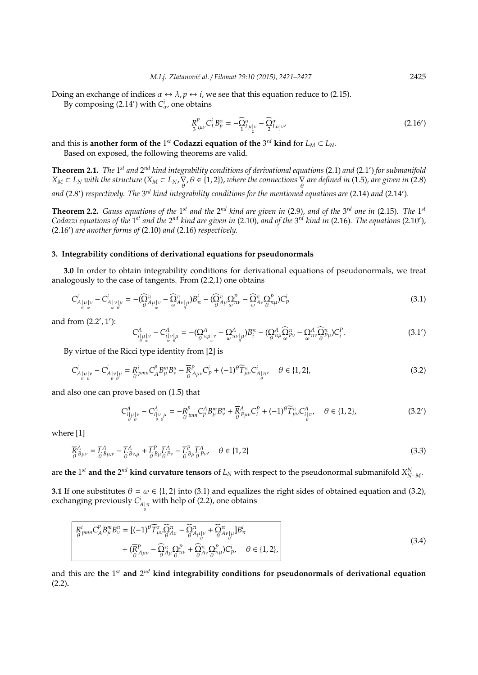Doing an exchange of indices  $\alpha \leftrightarrow \lambda$ ,  $p \leftrightarrow i$ , we see that this equation reduce to (2.15).

By composing  $(2.14')$  with  $C^i_\alpha$ , one obtains

$$
R_{3\,\mu\nu}^p C_L^i B_p^\alpha = -\widehat{\Omega}_{L\mu|v}^\alpha - \widehat{\Omega}_{L\mu|v'}^\alpha \tag{2.16'}
$$

and this is another form of the 1<sup>st</sup> Codazzi equation of the 3<sup>rd</sup> kind for  $L_M \subset L_N$ .

Based on exposed, the following theorems are valid.

**Theorem 2.1.** The 1<sup>st</sup> and 2<sup>nd</sup> kind integrability conditions of derivational equations (2.1) and (2.1') for submanifold  $X_M \subset L_N$  *with the structure*  $(X_M \subset L_N, \overline{\bigvee_\theta}, \theta \in \{1,2\})$ *, where the connections*  $\overline{\bigvee_\theta}$  *are defined in* (1.5)*, are given in* (2.8) and (2.8') respectively. The 3<sup>rd</sup> kind integrability conditions for the mentioned equations are (2.14) and (2.14').

**Theorem 2.2.** Gauss equations of the 1<sup>st</sup> and the 2<sup>nd</sup> kind are given in (2.9), and of the 3<sup>rd</sup> one in (2.15). The 1<sup>st</sup> Codazzi equations of the 1<sup>st</sup> and the 2<sup>nd</sup> kind are given in (2.10), and of the 3<sup>rd</sup> kind in (2.16). The equations (2.10'), (2.16') are another forms of (2.10) and (2.16) respectively.

#### **3. Integrability conditions of derivational equations for pseudonormals**

**3.0** In order to obtain integrability conditions for derivational equations of pseudonormals, we treat analogously to the case of tangents. From (2.2,1) one obtains

$$
C_{A|\mu|\nu}^i - C_{A|\nu|\mu}^i = -(\widehat{\Omega}_{\theta A\mu|\nu}^{\pi} - \widehat{\Omega}_{\theta A\nu|\mu}^{\pi})B_{\pi}^i - (\widehat{\Omega}_{\theta A\mu}^{\pi}\Omega_{\omega}^p - \widehat{\Omega}_{A\nu}^{\pi}\Omega_{\theta}^p)C_p^i
$$
\n(3.1)

and from  $(2.2', 1')$ :

$$
C_{i|\mu|\nu}^A - C_{i|\nu|\mu}^A = -(\mathcal{Q}_{\sigma\pi\mu|\nu}^A - \mathcal{Q}_{\sigma\pi\nu|\mu}^A)B_i^{\pi} - (\mathcal{Q}_{\sigma\pi\mu}^A \mathcal{Q}_{\omega}^{\pi}\mathcal{Q}_{\nu} - \mathcal{Q}_{\sigma\nu}^A \mathcal{Q}_{\sigma\mu}^{\pi}\mathcal{Q}_{\nu}^A)C_i^P.
$$
\n(3.1')

By virtue of the Ricci type identity from [2] is

θ

$$
C_{A|\mu|\nu}^{i} - C_{A|\nu|\mu}^{i} = R_{\theta}^{i} P_{\mu}^{m} C_{A}^{p} B_{\mu}^{m} B_{\nu}^{n} - \overline{R}_{\theta}^{p} A_{\mu\nu} C_{P}^{i} + (-1)^{\theta} \widetilde{T}_{\mu\nu}^{\pi} C_{A|\pi}^{i}, \quad \theta \in \{1, 2\},\tag{3.2}
$$

and also one can prove based on (1.5) that

$$
C_{i|\mu|\nu}^A - C_{i|\nu|\mu}^A = -R_{\theta \text{ imn}}^p C_p^A B_\mu^m B_\nu^n + \overline{R}_{\theta}^A_{\mu\nu} C_i^P + (-1)^\theta \widetilde{T}_{\mu\nu}^{\pi} C_{i|\pi}^A, \quad \theta \in \{1, 2\},
$$
\n(3.2')

where [1]

$$
\overline{R}_{\theta}^{A}{}_{\mu\nu} = \overline{L}_{\theta}^{A}{}_{\mu,\nu} - \overline{L}_{\theta}^{A}{}_{\nu,\mu} + \overline{L}_{\theta}^{P}{}_{\mu} \overline{L}_{\theta}^{A}{}_{\nu} - \overline{L}_{\theta}^{P}{}_{\mu} \overline{L}_{\theta}^{A}{}_{\nu} \qquad \theta \in \{1, 2\}
$$
\n(3.3)

are the 1<sup>st</sup> and the 2<sup>nd</sup> kind curvature tensors of  $L_N$  with respect to the pseudonormal submanifold  $X_{N-M}^N$ .

**3.1** If one substitutes  $\theta = \omega \in \{1, 2\}$  into (3.1) and equalizes the right sides of obtained equation and (3.2), exchanging previously  $C_{A|\pi}^i$  with help of (2.2), one obtains

$$
R_{\theta}^{i} p_{mn} C_{A}^{p} B_{\mu}^{m} B_{\nu}^{n} = [(-1)^{\theta} \widetilde{T}_{\mu\nu}^{\sigma} \widehat{Q}_{\theta}^{\pi} - \widehat{Q}_{A\mu}^{\pi}{}_{\nu} + \widehat{Q}_{\theta}^{\pi}{}_{\nu}{}_{\mu}^{\sigma} B_{\pi}^{i} + (\overline{R}_{\theta}^{p}{}_{A\mu\nu} - \widehat{Q}_{A\mu}^{\pi} \Omega_{\theta}^{p}{}_{\nu} + \widehat{Q}_{A\nu}^{\pi} \Omega_{\theta}^{p}{}_{\mu}^{\sigma}) C_{p}^{i}, \quad \theta \in \{1, 2\},
$$
\n(3.4)

and this are the 1st and 2<sup>nd</sup> kind integrability conditions for pseudonormals of derivational equation (2.2)**.**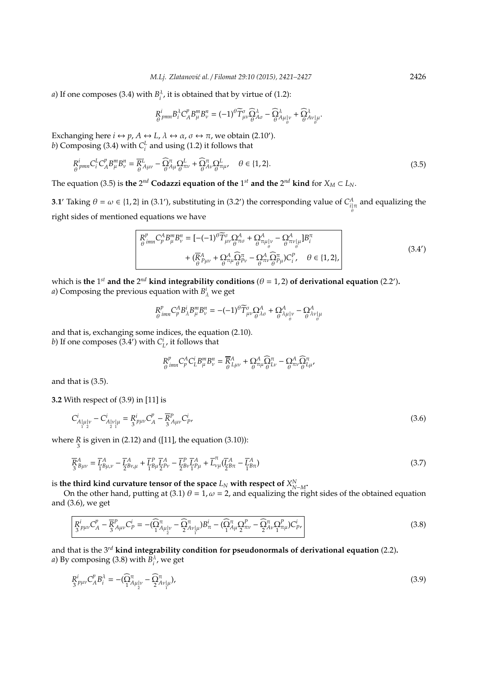*a*) If one composes (3.4) with  $B_i^{\lambda}$ , it is obtained that by virtue of (1.2):

$$
R^i_{\theta}{}_{pmn}B^{\lambda}_iC^p_{A}B^m_{\mu}B^n_{\nu}=(-1)^{\theta}\widetilde{T}^{\sigma}_{\mu\nu}\widehat{\Omega}^{\lambda}_{\theta}\widehat{\Delta}_{\sigma}-\widehat{\Omega}^{\lambda}_{A\mu}|_{\nu}+\widehat{\Omega}^{\lambda}_{A\nu}|_{\mu}.
$$

Exchanging here  $i \leftrightarrow p$ ,  $A \leftrightarrow L$ ,  $\lambda \leftrightarrow \alpha$ ,  $\sigma \leftrightarrow \pi$ , we obtain (2.10'). *b*) Composing (3.4) with  $C_i^L$  and using (1.2) it follows that

$$
R^i_{\theta}{}_{pmn}C^L_iC^p_AB^m_\mu B^n_\nu = \overline{R}^L_{\theta}{}_{A\mu\nu} - \widehat{\Omega}^{\pi}_{A\mu}\Omega^L_{\theta}{}_{\pi\nu} + \widehat{\Omega}^{\pi}_{A\nu}\Omega^L_{\theta}{}_{\pi\mu} \qquad \theta \in \{1, 2\}.
$$
\n(3.5)

The equation (3.5) is the 2<sup>nd</sup> Codazzi equation of the 1<sup>st</sup> and the 2<sup>nd</sup> kind for  $X_M \subset L_N$ .

**3.1'** Taking  $\theta = \omega \in \{1, 2\}$  in (3.1'), substituting in (3.2') the corresponding value of  $C_{i|\pi}^A$  and equalizing the θ right sides of mentioned equations we have

$$
\begin{vmatrix}\nR_{\theta}^{p} & R_{\mu}^{n} B_{\nu}^{n} = \left[ -(-1)^{\theta} \widetilde{T}_{\mu\nu}^{\sigma} \Omega_{\theta}^{A} + \Omega_{\theta}^{A} \pi_{\mu} |_{\nu} - \Omega_{\theta}^{A} \pi_{\nu} |_{\theta} \right] B_{i}^{\pi} \\
+ (\overline{R}_{\theta}^{A} P_{\mu\nu} + \Omega_{\theta}^{A} \Omega_{\mu}^{\pi} \Omega_{\theta}^{n} - \Omega_{\theta}^{A} \Omega_{\theta}^{\pi} \Pi_{\theta} \right) C_{i}^{p}, \quad \theta \in \{1, 2\},\n\end{vmatrix}
$$
\n(3.4')

which is the 1<sup>st</sup> and the 2<sup>nd</sup> kind integrability conditions ( $\theta = 1, 2$ ) of derivational equation (2.2'). *a*) Composing the previous equation with  $B^i_\lambda$  we get

$$
R^p_{\theta} \dot{m} \ C^A_p B^i_\lambda B^m_\mu B^n_\nu = -(-1)^\theta \widetilde{T}^\sigma_{\mu\nu} \Omega^A_{\theta} + \Omega^A_{\theta} \lambda_{\mu} |_\nu - \Omega^A_{\theta} \lambda_{\nu} |_\theta
$$

and that is, exchanging some indices, the equation (2.10). *b*) If one composes  $(3.4')$  with  $C_L^i$ , it follows that

$$
R^p_{\theta}^{'}_{imn}C^A_p C^i_L B^m_\mu B^n_\nu = \overline{R}^A_{L\mu\nu} + \Omega^A_{\theta} \widehat{\Omega}^{\pi}_{L\nu} - \Omega^A_{\pi\nu} \widehat{\Omega}^{\pi}_{L\mu},
$$

and that is (3.5).

**3.2** With respect of (3.9) in [11] is

$$
C_{A_{\mu\nu}|\nu}^i - C_{A_{\mu\nu}|\nu}^i = R_{\mu\nu}^i C_A^p - \overline{R}_{A\mu\nu}^P C_{P}^i, \tag{3.6}
$$

where  $\frac{R}{3}$  is given in (2.12) and ([11], the equation (3.10)):

$$
\overline{R}_{3}^{A}{}_{\beta\mu\nu} = \overline{L}_{1}^{A}{}_{\beta\mu,\nu} - \overline{L}_{2}^{A}{}_{\beta\nu,\mu} + \overline{L}_{1}^{P}{}_{\beta\mu}\overline{L}_{P\nu}^{A} - \overline{L}_{2}^{P}{}_{\nu}\overline{L}_{1}^{A}{}_{\beta\mu} + \overline{L}_{\nu\mu}^{T}(\overline{L}_{2}^{A}{}_{\beta\pi} - \overline{L}_{1}^{A}{}_{\beta\pi})
$$
\n(3.7)

is the third kind curvature tensor of the space  $L_N$  with respect of  $X_{N-M}^N$ .

On the other hand, putting at (3.1)  $\theta = 1$ ,  $\omega = 2$ , and equalizing the right sides of the obtained equation and (3.6), we get

$$
\overline{R}_{3}^{i}{}_{p\mu\nu}C_{A}^{p} - \overline{R}_{3}^{p}{}_{A\mu\nu}C_{P}^{i} = -(\widehat{\Omega}_{1}^{\pi}{}_{A\mu}{}_{\mu}^{i} - \widehat{\Omega}_{2}^{\pi}{}_{\nu}{}_{\mu}^{j})B_{\pi}^{i} - (\widehat{\Omega}_{1}^{\pi}{}_{A\mu} \Omega_{2}^{p} - \widehat{\Omega}_{2}^{\pi}{}_{\nu}C_{1}^{p}C_{\mu}^{j})C_{P}^{i},
$$
\n(3.8)

and that is the 3*rd* **kind integrability condition for pseudonormals of derivational equation** (2.2)**.** *a*) By composing (3.8) with  $B_i^{\lambda}$ , we get

$$
R_{3}^{i} \mu_{\nu} C_{A}^{\nu} B_{i}^{\lambda} = -(\widehat{\Omega}_{1}^{\pi} A_{\mu}{}_{\nu}^{\nu} - \widehat{\Omega}_{2}^{\pi} A_{\nu}{}_{\mu}^{\nu}),
$$
\n(3.9)